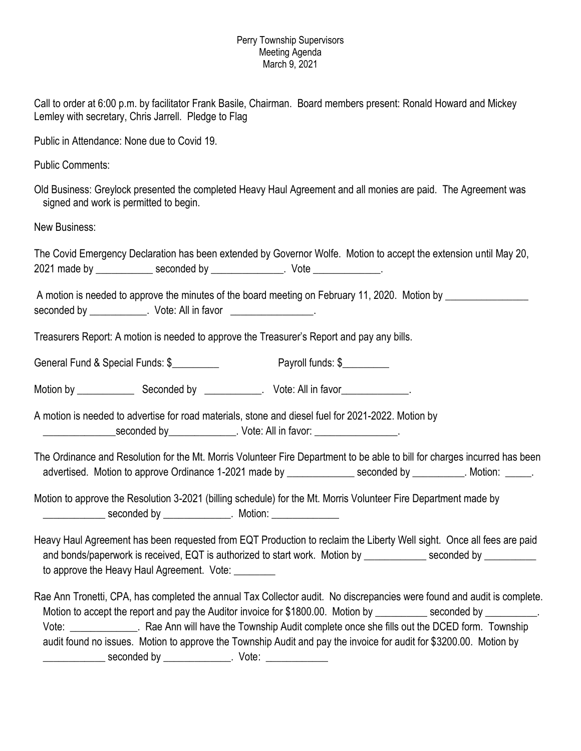## Perry Township Supervisors Meeting Agenda March 9, 2021

Call to order at 6:00 p.m. by facilitator Frank Basile, Chairman. Board members present: Ronald Howard and Mickey Lemley with secretary, Chris Jarrell. Pledge to Flag

Public in Attendance: None due to Covid 19.

Public Comments:

Old Business: Greylock presented the completed Heavy Haul Agreement and all monies are paid. The Agreement was signed and work is permitted to begin.

New Business:

| The Covid Emergency Declaration has been extended by Governor Wolfe. Motion to accept the extension until May 20, |             |      |  |
|-------------------------------------------------------------------------------------------------------------------|-------------|------|--|
| 2021 made by                                                                                                      | seconded by | Vote |  |

|             |                    | A motion is needed to approve the minutes of the board meeting on February 11, 2020. Motion by |  |  |
|-------------|--------------------|------------------------------------------------------------------------------------------------|--|--|
| seconded by | Vote: All in favor |                                                                                                |  |  |

Treasurers Report: A motion is needed to approve the Treasurer's Report and pay any bills.

General Fund & Special Funds: \$\_\_\_\_\_\_\_\_\_\_ Payroll funds: \$\_\_\_\_\_\_\_\_

Motion by \_\_\_\_\_\_\_\_\_\_\_ Seconded by \_\_\_\_\_\_\_\_\_\_\_. Vote: All in favor\_\_\_\_\_\_\_\_\_\_\_\_\_.

A motion is needed to advertise for road materials, stone and diesel fuel for 2021-2022. Motion by deconded by the seconded by the seconded by  $\Box$  vote: All in favor:  $\Box$ 

The Ordinance and Resolution for the Mt. Morris Volunteer Fire Department to be able to bill for charges incurred has been advertised. Motion to approve Ordinance 1-2021 made by \_\_\_\_\_\_\_\_\_\_\_\_\_\_\_ seconded by \_\_\_\_\_\_\_\_\_. Motion: \_\_\_\_\_\_.

Motion to approve the Resolution 3-2021 (billing schedule) for the Mt. Morris Volunteer Fire Department made by \_\_\_\_\_\_\_\_\_\_\_\_\_ seconded by \_\_\_\_\_\_\_\_\_\_\_\_\_\_\_. Motion: \_\_\_\_\_\_\_\_\_\_\_\_\_\_\_\_

Heavy Haul Agreement has been requested from EQT Production to reclaim the Liberty Well sight. Once all fees are paid and bonds/paperwork is received, EQT is authorized to start work. Motion by \_\_\_\_\_\_\_\_\_\_\_ seconded by \_\_\_\_\_\_\_\_\_ to approve the Heavy Haul Agreement. Vote:

Rae Ann Tronetti, CPA, has completed the annual Tax Collector audit. No discrepancies were found and audit is complete. Motion to accept the report and pay the Auditor invoice for \$1800.00. Motion by \_\_\_\_\_\_\_\_\_\_\_ seconded by Vote: \_\_\_\_\_\_\_\_\_\_\_\_\_. Rae Ann will have the Township Audit complete once she fills out the DCED form. Township audit found no issues. Motion to approve the Township Audit and pay the invoice for audit for \$3200.00. Motion by \_\_\_\_\_\_\_\_\_\_ seconded by \_\_\_\_\_\_\_\_\_\_\_\_\_\_. Vote: \_\_\_\_\_\_\_\_\_\_\_